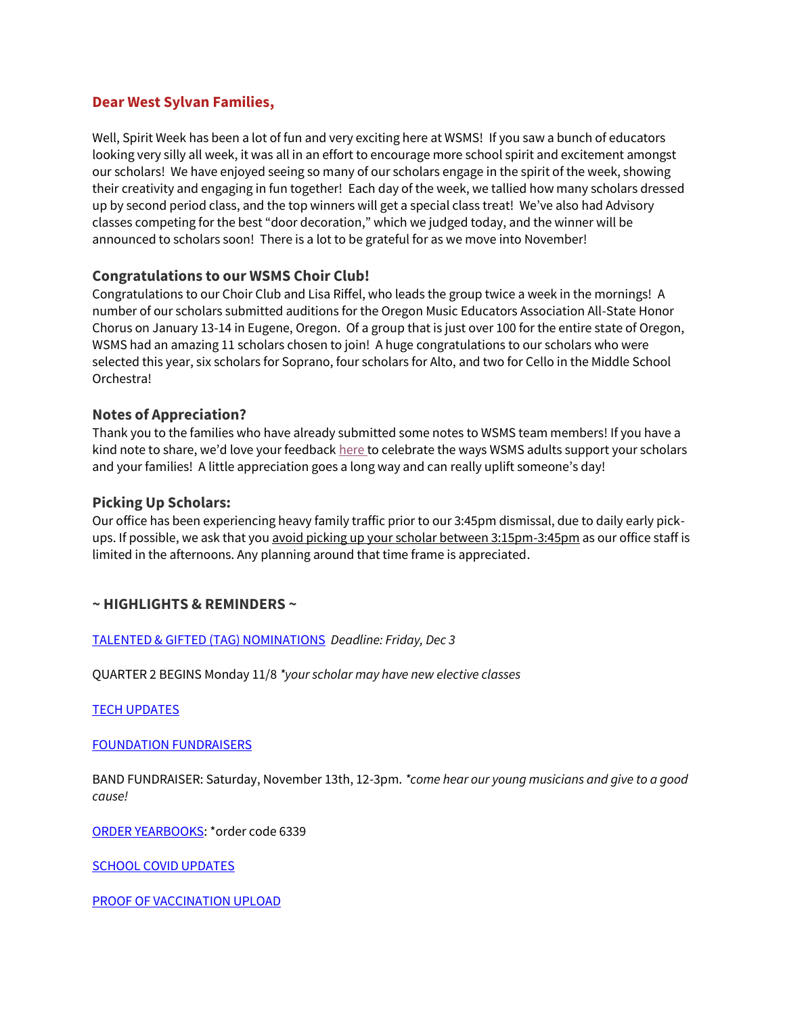# **Dear West Sylvan Families,**

Well, Spirit Week has been a lot of fun and very exciting here at WSMS! If you saw a bunch of educators looking very silly all week, it was all in an effort to encourage more school spirit and excitement amongst our scholars! We have enjoyed seeing so many of our scholars engage in the spirit of the week, showing their creativity and engaging in fun together! Each day of the week, we tallied how many scholars dressed up by second period class, and the top winners will get a special class treat! We've also had Advisory classes competing for the best "door decoration," which we judged today, and the winner will be announced to scholars soon! There is a lot to be grateful for as we move into November!

# **Congratulations to our WSMS Choir Club!**

Congratulations to our Choir Club and Lisa Riffel, who leads the group twice a week in the mornings! A number of our scholars submitted auditions for the Oregon Music Educators Association All-State Honor Chorus on January 13-14 in Eugene, Oregon. Of a group that is just over 100 for the entire state of Oregon, WSMS had an amazing 11 scholars chosen to join! A huge congratulations to our scholars who were selected this year, six scholars for Soprano, four scholars for Alto, and two for Cello in the Middle School Orchestra!

# **Notes of Appreciation?**

Thank you to the families who have already submitted some notes to WSMS team members! If you have a kind note to share, we'd love your feedback [here](https://docs.google.com/forms/d/e/1FAIpQLSfjk65AOugYQNEedc86UUY1EPLZuWxAE8PdJnJE9Cuxte_oLg/viewform) to celebrate the ways WSMS adults support your scholars and your families! A little appreciation goes a long way and can really uplift someone's day!

### **Picking Up Scholars:**

Our office has been experiencing heavy family traffic prior to our 3:45pm dismissal, due to daily early pickups. If possible, we ask that you avoid picking up your scholar between 3:15pm-3:45pm as our office staff is limited in the afternoons. Any planning around that time frame is appreciated.

# **~ HIGHLIGHTS & REMINDERS ~**

[TALENTED & GIFTED \(TAG\) NOMINATIONS](http://track.spe.schoolmessenger.com/f/a/t6Q23nx1BvE4QHsbjbE7BA~~/AAAAAQA~/RgRjXZ7xP0QxaHR0cHM6Ly9zaXRlcy5nb29nbGUuY29tL3Bwcy5uZXQvd2VzdC1zeWx2YW4tdGFnL1cHc2Nob29sbUIKYXxxa3xhNsVoa1IRanNvbG9uY2hlQHBwcy5uZXRYBAAAAAE~) *Deadline: Friday, Dec 3*

QUARTER 2 BEGINS Monday 11/8 *\*your scholar may have new elective classes*

[TECH UPDATES](https://www.pps.net/cms/lib/OR01913224/Centricity/Domain/160/Tech%20Updates.pdf)

[FOUNDATION FUNDRAISERS](https://www.pps.net/cms/lib/OR01913224/Centricity/Domain/160/WSFoundation_Fundraiser.jpg)

BAND FUNDRAISER: Saturday, November 13th, 12-3pm. *\*come hear our young musicians and give to a good cause!*

[ORDER YEARBOOKS:](http://track.spe.schoolmessenger.com/f/a/PJD_c9psiDLRQ6ouQi_PDA~~/AAAAAQA~/RgRjQKwYP0QeaHR0cDovL3llYXJib29rb3JkZXJjZW50ZXIuY29tVwdzY2hvb2xtQgphXph4X2H_meH5UhFqc29sb25jaGVAcHBzLm5ldFgEAAAAAQ~~) \*order code 6339

[SCHOOL COVID UPDATES](https://www.pps.net/cms/lib/OR01913224/Centricity/Domain/160/SCHOOL%20COVID%20UPDATES.pdf)

[PROOF OF VACCINATION UPLOAD](https://docs.google.com/document/d/1AxHhVVEjAqJxV1Vuh9PnfwkZHcp-Tde_x6iFOOEy58Y/edit)